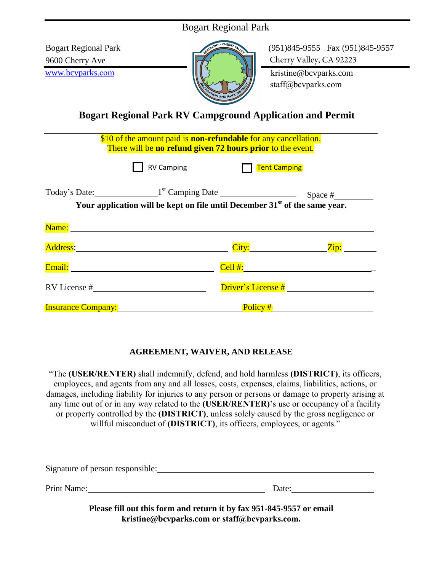<u>and the second control of the second control of</u>

 $\overline{a}$  and  $\overline{a}$  and  $\overline{a}$